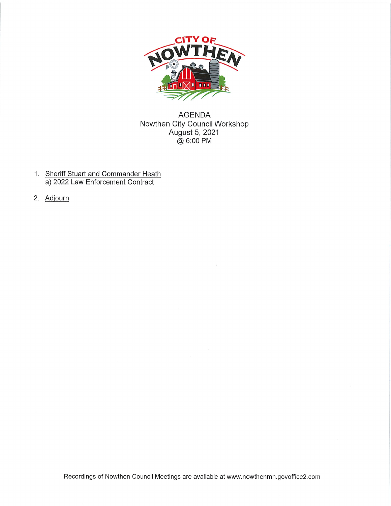

**AGENDA** Nowthen City Council Workshop August 5, 2021 @ 6:00 PM

- 1. Sheriff Stuart and Commander Heath a) 2022 Law Enforcement Contract
- 2. Adjourn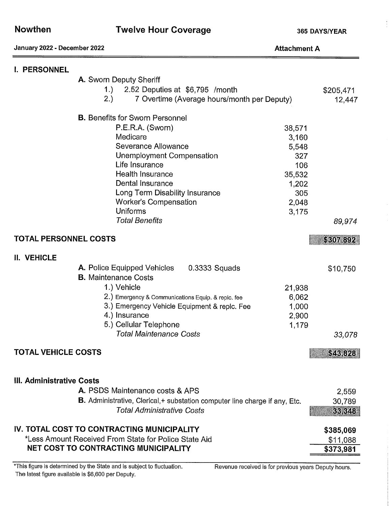| January 2022 - December 2022                                                                                                                       |                                                                                                                                                                                                                                                                                                           | <b>Attachment A</b>                                                                |                                    |
|----------------------------------------------------------------------------------------------------------------------------------------------------|-----------------------------------------------------------------------------------------------------------------------------------------------------------------------------------------------------------------------------------------------------------------------------------------------------------|------------------------------------------------------------------------------------|------------------------------------|
| I. PERSONNEL                                                                                                                                       | A. Sworn Deputy Sheriff<br>1.)<br>2.52 Deputies at \$6,795 /month<br>2.)<br>7 Overtime (Average hours/month per Deputy)                                                                                                                                                                                   |                                                                                    | \$205,471<br>12,447                |
|                                                                                                                                                    |                                                                                                                                                                                                                                                                                                           |                                                                                    |                                    |
|                                                                                                                                                    | <b>B.</b> Benefits for Sworn Personnel<br>P.E.R.A. (Sworn)<br>Medicare<br>Severance Allowance<br>Unemployment Compensation<br>Life Insurance<br><b>Health Insurance</b><br>Dental Insurance<br>Long Term Disability Insurance<br><b>Worker's Compensation</b><br><b>Uniforms</b><br><b>Total Benefits</b> | 38,571<br>3,160<br>5,548<br>327<br>106<br>35,532<br>1,202<br>305<br>2,048<br>3,175 | 89,974                             |
| TOTAL PERSONNEL COSTS                                                                                                                              |                                                                                                                                                                                                                                                                                                           |                                                                                    | \$307,892                          |
|                                                                                                                                                    |                                                                                                                                                                                                                                                                                                           |                                                                                    |                                    |
| II. VEHICLE                                                                                                                                        | <b>A.</b> Police Equipped Vehicles<br>0.3333 Squads<br><b>B.</b> Maintenance Costs<br>1.) Vehicle<br>2.) Emergency & Communications Equip. & replc. fee<br>3.) Emergency Vehicle Equipment & replc. Fee<br>4.) Insurance<br>5.) Cellular Telephone<br><b>Total Maintenance Costs</b>                      | 21,938<br>6,062<br>1,000<br>2,900<br>1,179                                         | \$10,750<br>33,078                 |
| <b>TOTAL VEHICLE COSTS</b>                                                                                                                         |                                                                                                                                                                                                                                                                                                           |                                                                                    | \$43,828                           |
| <b>III. Administrative Costs</b>                                                                                                                   | A. PSDS Maintenance costs & APS<br>B. Administrative, Clerical, + substation computer line charge if any, Etc.<br><b>Total Administrative Costs</b>                                                                                                                                                       |                                                                                    | 2,559<br>30,789<br>33,348          |
| IV. TOTAL COST TO CONTRACTING MUNICIPALITY<br>*Less Amount Received From State for Police State Aid<br><b>NET COST TO CONTRACTING MUNICIPALITY</b> |                                                                                                                                                                                                                                                                                                           |                                                                                    | \$385,069<br>\$11,088<br>\$373,981 |

\*This figure is determined by the State and is subject to fluctuation. The latest figure available is \$6,600 per Deputy.

Revenue received is for previous years Deputy hours.

Î

**Twelve Hour Coverage**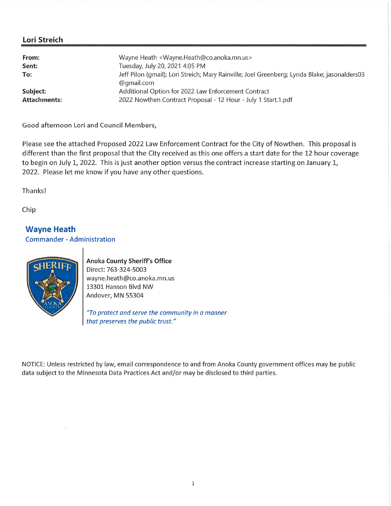## Lori Streich

| Jeff Pilon (gmail); Lori Streich; Mary Rainville; Joel Greenberg; Lynda Blake; jasonalders03 |
|----------------------------------------------------------------------------------------------|
|                                                                                              |
|                                                                                              |

Good afternoon Lori and Council Members,

Please see the attached Proposed 2022 Law Enforcement Contract for the City of Nowthen. This proposal is different than the first proposal that the City received as this one offers a start date for the 12 hour coverage to begin on July 1, 2022. This is just another option versus the contract increase starting on January 1, 2022. Please let me know if you have any other questions.

Thanks!

Chip

**Wayne Heath Commander - Administration** 



 $\bar{I}$ 

**Anoka County Sheriff's Office** Direct: 763-324-5003 wayne.heath@co.anoka.mn.us 13301 Hanson Blvd NW Andover, MN 55304

"To protect and serve the community in a manner that preserves the public trust."

NOTICE: Unless restricted by law, email correspondence to and from Anoka County government offices may be public data subject to the Minnesota Data Practices Act and/or may be disclosed to third parties.